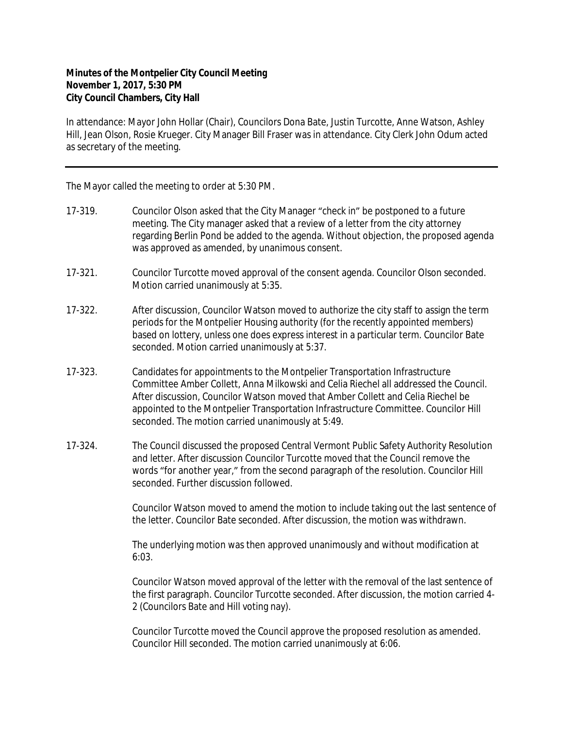## **Minutes of the Montpelier City Council Meeting November 1, 2017, 5:30 PM City Council Chambers, City Hall**

In attendance: Mayor John Hollar (Chair), Councilors Dona Bate, Justin Turcotte, Anne Watson, Ashley Hill, Jean Olson, Rosie Krueger. City Manager Bill Fraser was in attendance. City Clerk John Odum acted as secretary of the meeting.

The Mayor called the meeting to order at 5:30 PM.

- 17-319. Councilor Olson asked that the City Manager "check in" be postponed to a future meeting. The City manager asked that a review of a letter from the city attorney regarding Berlin Pond be added to the agenda. Without objection, the proposed agenda was approved as amended, by unanimous consent.
- 17-321. Councilor Turcotte moved approval of the consent agenda. Councilor Olson seconded. Motion carried unanimously at 5:35.
- 17-322. After discussion, Councilor Watson moved to authorize the city staff to assign the term periods for the Montpelier Housing authority (*for the recently appointed members*) based on lottery, unless one does express interest in a particular term. Councilor Bate seconded. Motion carried unanimously at 5:37.
- 17-323. Candidates for appointments to the Montpelier Transportation Infrastructure Committee Amber Collett, Anna Milkowski and Celia Riechel all addressed the Council. After discussion, Councilor Watson moved that Amber Collett and Celia Riechel be appointed to the Montpelier Transportation Infrastructure Committee. Councilor Hill seconded. The motion carried unanimously at 5:49.
- 17-324. The Council discussed the proposed Central Vermont Public Safety Authority Resolution and letter. After discussion Councilor Turcotte moved that the Council remove the words "for another year," from the second paragraph of the resolution. Councilor Hill seconded. Further discussion followed.

Councilor Watson moved to amend the motion to include taking out the last sentence of the letter. Councilor Bate seconded. After discussion, the motion was withdrawn.

The underlying motion was then approved unanimously and without modification at 6:03.

Councilor Watson moved approval of the letter with the removal of the last sentence of the first paragraph. Councilor Turcotte seconded. After discussion, the motion carried 4- 2 (Councilors Bate and Hill voting nay).

Councilor Turcotte moved the Council approve the proposed resolution as amended. Councilor Hill seconded. The motion carried unanimously at 6:06.